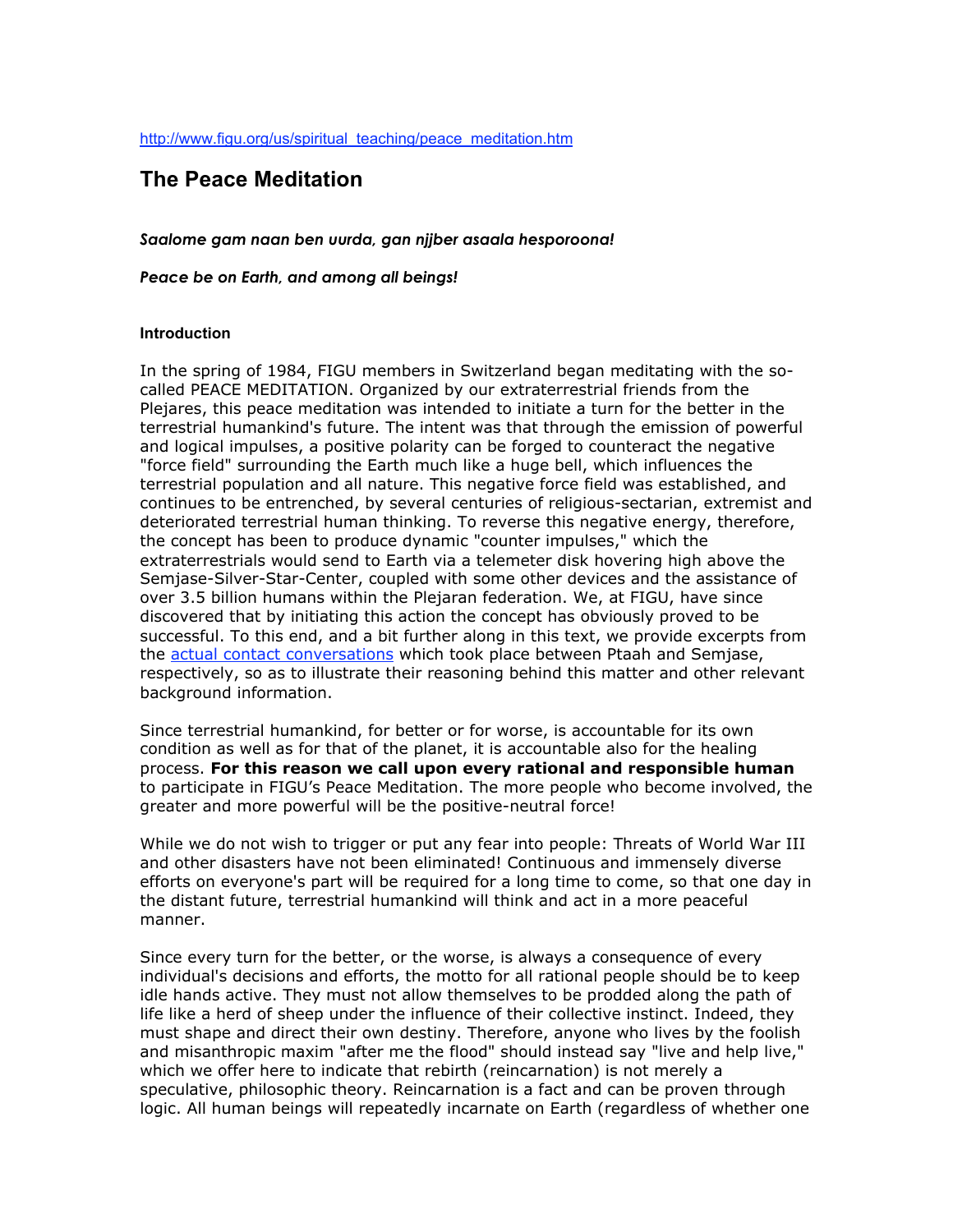http://www.figu.org/us/spiritual\_teaching/peace\_meditation.htm

# **The Peace Meditation**

*Saalome gam naan ben uurda, gan njjber asaala hesporoona!*

*Peace be on Earth, and among all beings!*

#### **Introduction**

In the spring of 1984, FIGU members in Switzerland began meditating with the socalled PEACE MEDITATION. Organized by our extraterrestrial friends from the Plejares, this peace meditation was intended to initiate a turn for the better in the terrestrial humankind's future. The intent was that through the emission of powerful and logical impulses, a positive polarity can be forged to counteract the negative "force field" surrounding the Earth much like a huge bell, which influences the terrestrial population and all nature. This negative force field was established, and continues to be entrenched, by several centuries of religious-sectarian, extremist and deteriorated terrestrial human thinking. To reverse this negative energy, therefore, the concept has been to produce dynamic "counter impulses," which the extraterrestrials would send to Earth via a telemeter disk hovering high above the Semjase-Silver-Star-Center, coupled with some other devices and the assistance of over 3.5 billion humans within the Plejaran federation. We, at FIGU, have since discovered that by initiating this action the concept has obviously proved to be successful. To this end, and a bit further along in this text, we provide excerpts from the actual contact conversations which took place between Ptaah and Semjase, respectively, so as to illustrate their reasoning behind this matter and other relevant background information.

Since terrestrial humankind, for better or for worse, is accountable for its own condition as well as for that of the planet, it is accountable also for the healing process. **For this reason we call upon every rational and responsible human** to participate in FIGU's Peace Meditation. The more people who become involved, the greater and more powerful will be the positive-neutral force!

While we do not wish to trigger or put any fear into people: Threats of World War III and other disasters have not been eliminated! Continuous and immensely diverse efforts on everyone's part will be required for a long time to come, so that one day in the distant future, terrestrial humankind will think and act in a more peaceful manner.

Since every turn for the better, or the worse, is always a consequence of every individual's decisions and efforts, the motto for all rational people should be to keep idle hands active. They must not allow themselves to be prodded along the path of life like a herd of sheep under the influence of their collective instinct. Indeed, they must shape and direct their own destiny. Therefore, anyone who lives by the foolish and misanthropic maxim "after me the flood" should instead say "live and help live," which we offer here to indicate that rebirth (reincarnation) is not merely a speculative, philosophic theory. Reincarnation is a fact and can be proven through logic. All human beings will repeatedly incarnate on Earth (regardless of whether one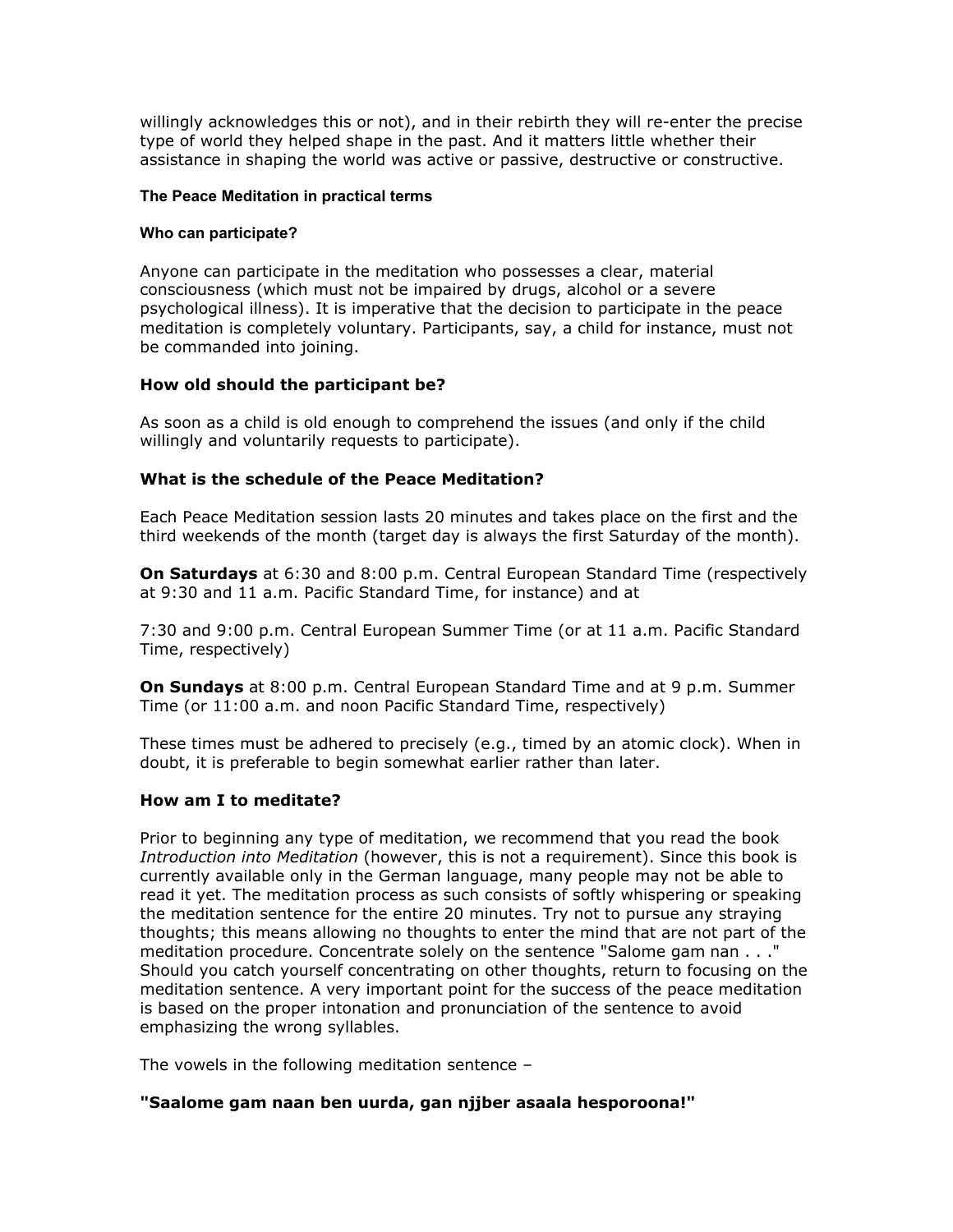willingly acknowledges this or not), and in their rebirth they will re-enter the precise type of world they helped shape in the past. And it matters little whether their assistance in shaping the world was active or passive, destructive or constructive.

# **The Peace Meditation in practical terms**

## **Who can participate?**

Anyone can participate in the meditation who possesses a clear, material consciousness (which must not be impaired by drugs, alcohol or a severe psychological illness). It is imperative that the decision to participate in the peace meditation is completely voluntary. Participants, say, a child for instance, must not be commanded into joining.

# **How old should the participant be?**

As soon as a child is old enough to comprehend the issues (and only if the child willingly and voluntarily requests to participate).

# **What is the schedule of the Peace Meditation?**

Each Peace Meditation session lasts 20 minutes and takes place on the first and the third weekends of the month (target day is always the first Saturday of the month).

**On Saturdays** at 6:30 and 8:00 p.m. Central European Standard Time (respectively at 9:30 and 11 a.m. Pacific Standard Time, for instance) and at

7:30 and 9:00 p.m. Central European Summer Time (or at 11 a.m. Pacific Standard Time, respectively)

**On Sundays** at 8:00 p.m. Central European Standard Time and at 9 p.m. Summer Time (or 11:00 a.m. and noon Pacific Standard Time, respectively)

These times must be adhered to precisely (e.g., timed by an atomic clock). When in doubt, it is preferable to begin somewhat earlier rather than later.

# **How am I to meditate?**

Prior to beginning any type of meditation, we recommend that you read the book *Introduction into Meditation* (however, this is not a requirement). Since this book is currently available only in the German language, many people may not be able to read it yet. The meditation process as such consists of softly whispering or speaking the meditation sentence for the entire 20 minutes. Try not to pursue any straying thoughts; this means allowing no thoughts to enter the mind that are not part of the meditation procedure. Concentrate solely on the sentence "Salome gam nan . . ." Should you catch yourself concentrating on other thoughts, return to focusing on the meditation sentence. A very important point for the success of the peace meditation is based on the proper intonation and pronunciation of the sentence to avoid emphasizing the wrong syllables.

The vowels in the following meditation sentence –

# **"Saalome gam naan ben uurda, gan njjber asaala hesporoona!"**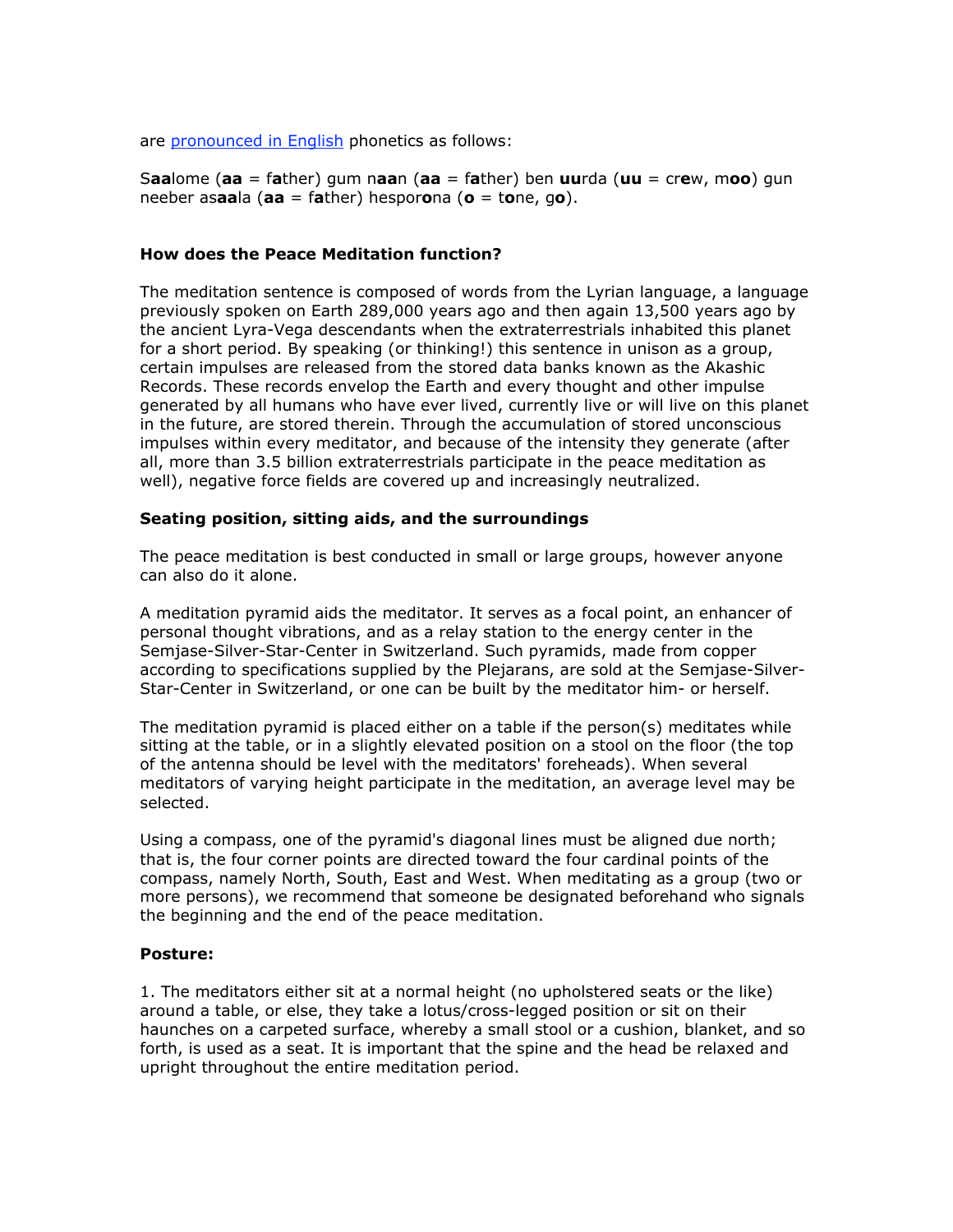are pronounced in English phonetics as follows:

S**aa**lome (**aa** = f**a**ther) gum n**aa**n (**aa** = f**a**ther) ben **uu**rda (**uu** = cr**e**w, m**oo**) gun neeber as**aa**la (**aa** = f**a**ther) hespor**o**na (**o** = t**o**ne, g**o**).

## **How does the Peace Meditation function?**

The meditation sentence is composed of words from the Lyrian language, a language previously spoken on Earth 289,000 years ago and then again 13,500 years ago by the ancient Lyra-Vega descendants when the extraterrestrials inhabited this planet for a short period. By speaking (or thinking!) this sentence in unison as a group, certain impulses are released from the stored data banks known as the Akashic Records. These records envelop the Earth and every thought and other impulse generated by all humans who have ever lived, currently live or will live on this planet in the future, are stored therein. Through the accumulation of stored unconscious impulses within every meditator, and because of the intensity they generate (after all, more than 3.5 billion extraterrestrials participate in the peace meditation as well), negative force fields are covered up and increasingly neutralized.

# **Seating position, sitting aids, and the surroundings**

The peace meditation is best conducted in small or large groups, however anyone can also do it alone.

A meditation pyramid aids the meditator. It serves as a focal point, an enhancer of personal thought vibrations, and as a relay station to the energy center in the Semjase-Silver-Star-Center in Switzerland. Such pyramids, made from copper according to specifications supplied by the Plejarans, are sold at the Semjase-Silver-Star-Center in Switzerland, or one can be built by the meditator him- or herself.

The meditation pyramid is placed either on a table if the person(s) meditates while sitting at the table, or in a slightly elevated position on a stool on the floor (the top of the antenna should be level with the meditators' foreheads). When several meditators of varying height participate in the meditation, an average level may be selected.

Using a compass, one of the pyramid's diagonal lines must be aligned due north; that is, the four corner points are directed toward the four cardinal points of the compass, namely North, South, East and West. When meditating as a group (two or more persons), we recommend that someone be designated beforehand who signals the beginning and the end of the peace meditation.

#### **Posture:**

1. The meditators either sit at a normal height (no upholstered seats or the like) around a table, or else, they take a lotus/cross-legged position or sit on their haunches on a carpeted surface, whereby a small stool or a cushion, blanket, and so forth, is used as a seat. It is important that the spine and the head be relaxed and upright throughout the entire meditation period.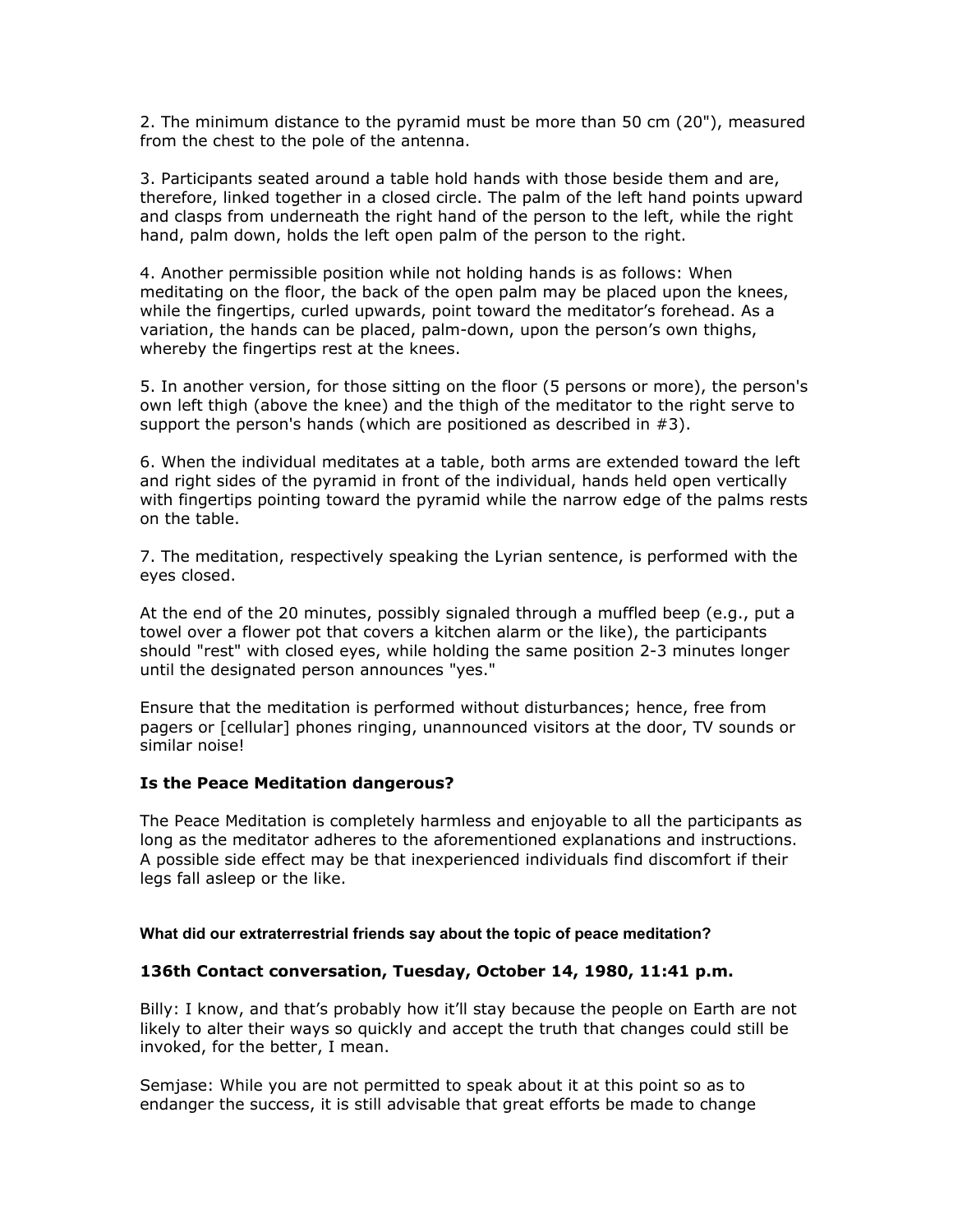2. The minimum distance to the pyramid must be more than 50 cm (20"), measured from the chest to the pole of the antenna.

3. Participants seated around a table hold hands with those beside them and are, therefore, linked together in a closed circle. The palm of the left hand points upward and clasps from underneath the right hand of the person to the left, while the right hand, palm down, holds the left open palm of the person to the right.

4. Another permissible position while not holding hands is as follows: When meditating on the floor, the back of the open palm may be placed upon the knees, while the fingertips, curled upwards, point toward the meditator's forehead. As a variation, the hands can be placed, palm-down, upon the person's own thighs, whereby the fingertips rest at the knees.

5. In another version, for those sitting on the floor (5 persons or more), the person's own left thigh (above the knee) and the thigh of the meditator to the right serve to support the person's hands (which are positioned as described in #3).

6. When the individual meditates at a table, both arms are extended toward the left and right sides of the pyramid in front of the individual, hands held open vertically with fingertips pointing toward the pyramid while the narrow edge of the palms rests on the table.

7. The meditation, respectively speaking the Lyrian sentence, is performed with the eyes closed.

At the end of the 20 minutes, possibly signaled through a muffled beep (e.g., put a towel over a flower pot that covers a kitchen alarm or the like), the participants should "rest" with closed eyes, while holding the same position 2-3 minutes longer until the designated person announces "yes."

Ensure that the meditation is performed without disturbances; hence, free from pagers or [cellular] phones ringing, unannounced visitors at the door, TV sounds or similar noise!

#### **Is the Peace Meditation dangerous?**

The Peace Meditation is completely harmless and enjoyable to all the participants as long as the meditator adheres to the aforementioned explanations and instructions. A possible side effect may be that inexperienced individuals find discomfort if their legs fall asleep or the like.

#### **What did our extraterrestrial friends say about the topic of peace meditation?**

#### **136th Contact conversation, Tuesday, October 14, 1980, 11:41 p.m.**

Billy: I know, and that's probably how it'll stay because the people on Earth are not likely to alter their ways so quickly and accept the truth that changes could still be invoked, for the better, I mean.

Semjase: While you are not permitted to speak about it at this point so as to endanger the success, it is still advisable that great efforts be made to change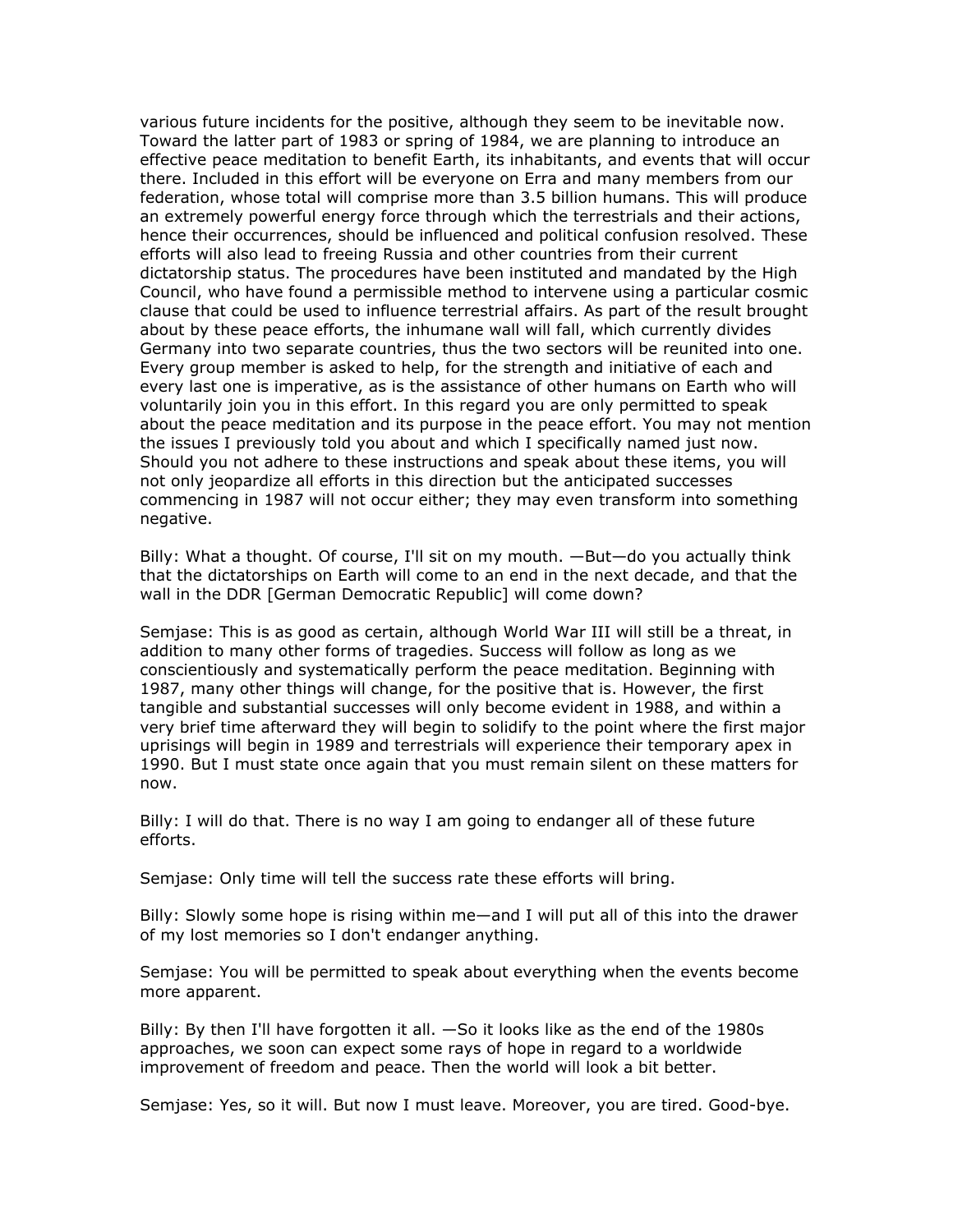various future incidents for the positive, although they seem to be inevitable now. Toward the latter part of 1983 or spring of 1984, we are planning to introduce an effective peace meditation to benefit Earth, its inhabitants, and events that will occur there. Included in this effort will be everyone on Erra and many members from our federation, whose total will comprise more than 3.5 billion humans. This will produce an extremely powerful energy force through which the terrestrials and their actions, hence their occurrences, should be influenced and political confusion resolved. These efforts will also lead to freeing Russia and other countries from their current dictatorship status. The procedures have been instituted and mandated by the High Council, who have found a permissible method to intervene using a particular cosmic clause that could be used to influence terrestrial affairs. As part of the result brought about by these peace efforts, the inhumane wall will fall, which currently divides Germany into two separate countries, thus the two sectors will be reunited into one. Every group member is asked to help, for the strength and initiative of each and every last one is imperative, as is the assistance of other humans on Earth who will voluntarily join you in this effort. In this regard you are only permitted to speak about the peace meditation and its purpose in the peace effort. You may not mention the issues I previously told you about and which I specifically named just now. Should you not adhere to these instructions and speak about these items, you will not only jeopardize all efforts in this direction but the anticipated successes commencing in 1987 will not occur either; they may even transform into something negative.

Billy: What a thought. Of course, I'll sit on my mouth. —But—do you actually think that the dictatorships on Earth will come to an end in the next decade, and that the wall in the DDR [German Democratic Republic] will come down?

Semjase: This is as good as certain, although World War III will still be a threat, in addition to many other forms of tragedies. Success will follow as long as we conscientiously and systematically perform the peace meditation. Beginning with 1987, many other things will change, for the positive that is. However, the first tangible and substantial successes will only become evident in 1988, and within a very brief time afterward they will begin to solidify to the point where the first major uprisings will begin in 1989 and terrestrials will experience their temporary apex in 1990. But I must state once again that you must remain silent on these matters for now.

Billy: I will do that. There is no way I am going to endanger all of these future efforts.

Semjase: Only time will tell the success rate these efforts will bring.

Billy: Slowly some hope is rising within me—and I will put all of this into the drawer of my lost memories so I don't endanger anything.

Semjase: You will be permitted to speak about everything when the events become more apparent.

Billy: By then I'll have forgotten it all. —So it looks like as the end of the 1980s approaches, we soon can expect some rays of hope in regard to a worldwide improvement of freedom and peace. Then the world will look a bit better.

Semjase: Yes, so it will. But now I must leave. Moreover, you are tired. Good-bye.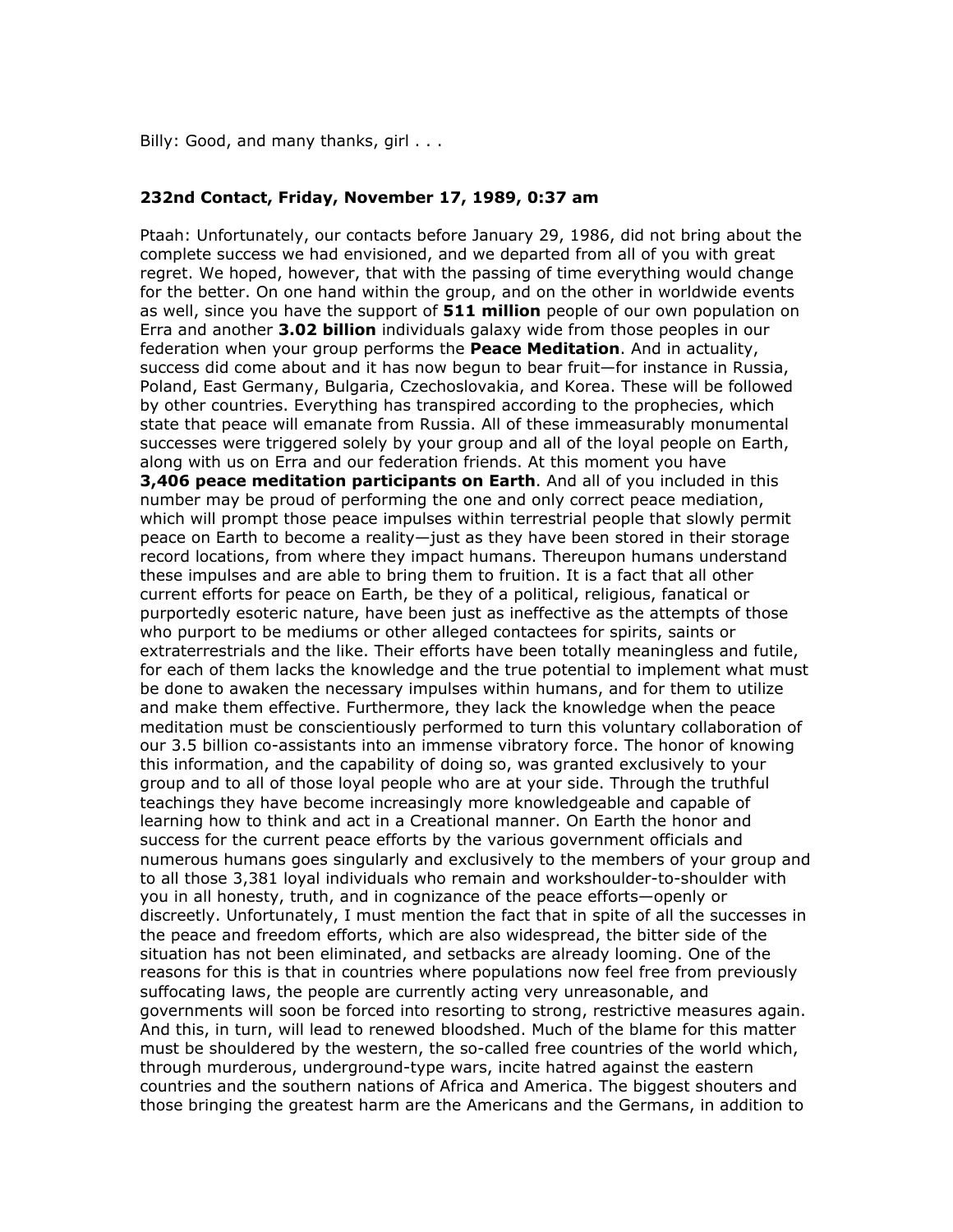Billy: Good, and many thanks, girl . . .

#### **232nd Contact, Friday, November 17, 1989, 0:37 am**

Ptaah: Unfortunately, our contacts before January 29, 1986, did not bring about the complete success we had envisioned, and we departed from all of you with great regret. We hoped, however, that with the passing of time everything would change for the better. On one hand within the group, and on the other in worldwide events as well, since you have the support of **511 million** people of our own population on Erra and another **3.02 billion** individuals galaxy wide from those peoples in our federation when your group performs the **Peace Meditation**. And in actuality, success did come about and it has now begun to bear fruit—for instance in Russia, Poland, East Germany, Bulgaria, Czechoslovakia, and Korea. These will be followed by other countries. Everything has transpired according to the prophecies, which state that peace will emanate from Russia. All of these immeasurably monumental successes were triggered solely by your group and all of the loyal people on Earth, along with us on Erra and our federation friends. At this moment you have **3,406 peace meditation participants on Earth**. And all of you included in this number may be proud of performing the one and only correct peace mediation, which will prompt those peace impulses within terrestrial people that slowly permit peace on Earth to become a reality—just as they have been stored in their storage record locations, from where they impact humans. Thereupon humans understand these impulses and are able to bring them to fruition. It is a fact that all other current efforts for peace on Earth, be they of a political, religious, fanatical or purportedly esoteric nature, have been just as ineffective as the attempts of those who purport to be mediums or other alleged contactees for spirits, saints or extraterrestrials and the like. Their efforts have been totally meaningless and futile, for each of them lacks the knowledge and the true potential to implement what must be done to awaken the necessary impulses within humans, and for them to utilize and make them effective. Furthermore, they lack the knowledge when the peace meditation must be conscientiously performed to turn this voluntary collaboration of our 3.5 billion co-assistants into an immense vibratory force. The honor of knowing this information, and the capability of doing so, was granted exclusively to your group and to all of those loyal people who are at your side. Through the truthful teachings they have become increasingly more knowledgeable and capable of learning how to think and act in a Creational manner. On Earth the honor and success for the current peace efforts by the various government officials and numerous humans goes singularly and exclusively to the members of your group and to all those 3,381 loyal individuals who remain and workshoulder-to-shoulder with you in all honesty, truth, and in cognizance of the peace efforts—openly or discreetly. Unfortunately, I must mention the fact that in spite of all the successes in the peace and freedom efforts, which are also widespread, the bitter side of the situation has not been eliminated, and setbacks are already looming. One of the reasons for this is that in countries where populations now feel free from previously suffocating laws, the people are currently acting very unreasonable, and governments will soon be forced into resorting to strong, restrictive measures again. And this, in turn, will lead to renewed bloodshed. Much of the blame for this matter must be shouldered by the western, the so-called free countries of the world which, through murderous, underground-type wars, incite hatred against the eastern countries and the southern nations of Africa and America. The biggest shouters and those bringing the greatest harm are the Americans and the Germans, in addition to